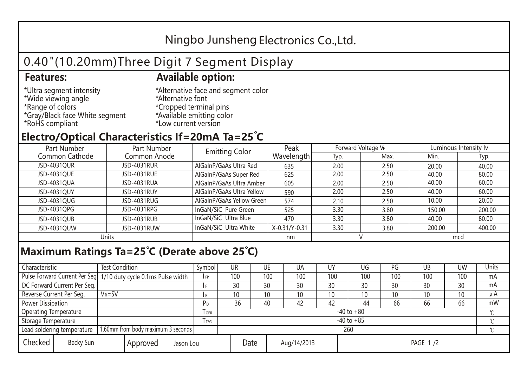## Ningbo Junsheng Electronics Co.,Ltd.

# 0.40"(10.20mm)Three Digit 7 Segment Display

#### **Features: Available option:**

- \*Ultra segment intensity \*Wide viewing angle \*Range of colors \*Gray/Black face White segment \*RoHS compliant
- \*Alternative face and segment color \*Alternative font \*Cropped terminal pins \*Available emitting color \*Low current version

### **Electro/Optical Characteristics If=20mA Ta=25 C**

| Part Number<br>Part Number |              | <b>Emitting Color</b>     | Peak          | Forward Voltage VF |      | Luminous Intensity Iv |        |  |
|----------------------------|--------------|---------------------------|---------------|--------------------|------|-----------------------|--------|--|
| Common Cathode             | Common Anode |                           | Wavelength    | Typ.               | Max. | Min.                  | Typ.   |  |
| JSD-4031QUR                | JSD-4031RUR  | AlGaInP/GaAs Ultra Red    | 635           | 2.00               | 2.50 | 20.00                 | 40.00  |  |
| JSD-4031QUE                | JSD-4031RUE  | AlGaInP/GaAs Super Red    | 625           | 2.00               | 2.50 | 40.00                 | 80.00  |  |
| JSD-4031QUA                | JSD-4031RUA  | AlGaInP/GaAs Ultra Amber  | 605           | 2.00               | 2.50 | 40.00                 | 60.00  |  |
| JSD-4031QUY                | JSD-4031RUY  | AlGaInP/GaAs Ultra Yellow | 590           | 2.00               | 2.50 | 40.00                 | 60.00  |  |
| JSD-4031QUG                | JSD-4031RUG  | AlGaInP/GaAs Yellow Green | 574           | 2.10               | 2.50 | 10.00                 | 20.00  |  |
| JSD-4031QPG                | JSD-4031RPG  | InGaN/SiC Pure Green      | 525           | 3.30               | 3.80 | 150.00                | 200.00 |  |
| JSD-4031QUB                | JSD-4031RUB  | InGaN/SiC Ultra Blue      | 470           | 3.30               | 3.80 | 40.00                 | 80.00  |  |
| JSD-4031QUW                | JSD-4031RUW  | InGaN/SiC Ultra White     | X-0.31/Y-0.31 | 3.30               | 3.80 | 200.00                | 400.00 |  |
| Units                      |              |                           | nm            |                    |      | mcd                   |        |  |

#### **Maximum Ratings Ta=25°C (Derate above 25°C)**

| Characteristic                                |  | <b>Test Condition</b>                                            |                                 |                | Symbol         | UR  |  | UE  | UA  | UY  | UG              | PG  | UB           | <b>UW</b> | Units   |
|-----------------------------------------------|--|------------------------------------------------------------------|---------------------------------|----------------|----------------|-----|--|-----|-----|-----|-----------------|-----|--------------|-----------|---------|
|                                               |  | Pulse Forward Current Per Seg. 1/10 duty cycle 0.1ms Pulse width |                                 |                | IFP            | 100 |  | 100 | 100 | 100 | 100             | 100 | 100          | 100       | mA      |
| DC Forward Current Per Seg.                   |  |                                                                  |                                 |                |                | 30  |  | 30  | 30  | 30  | 30              | 30  | 30           | 30        | mA      |
| Reverse Current Per Seg.                      |  | $V_R = 5V$                                                       |                                 |                | I R            | 10  |  | 10  | 10  | 10  | 10 <sup>°</sup> | 10  | 10           | 10        | $\mu$ A |
| <b>Power Dissipation</b>                      |  |                                                                  |                                 |                | P <sub>D</sub> | 36  |  | 40  | 42  | 42  | 44              | 66  | 66           | 66        | mW      |
| <b>Operating Temperature</b>                  |  |                                                                  | $I$ OPR                         | $-40$ to $+80$ |                |     |  |     |     |     |                 |     | $\gamma$     |           |         |
| Storage Temperature                           |  |                                                                  | I TSG                           | $-40$ to $+85$ |                |     |  |     |     |     |                 |     | $^{\circ}$ C |           |         |
| Lead soldering temperature                    |  | 1.60mm from body maximum 3 seconds                               |                                 |                |                | 260 |  |     |     |     |                 |     |              |           |         |
| Checked<br>Becky Sun<br>Approved<br>Jason Lou |  |                                                                  | Date<br>Aug/14/2013<br>PAGE 1/2 |                |                |     |  |     |     |     |                 |     |              |           |         |